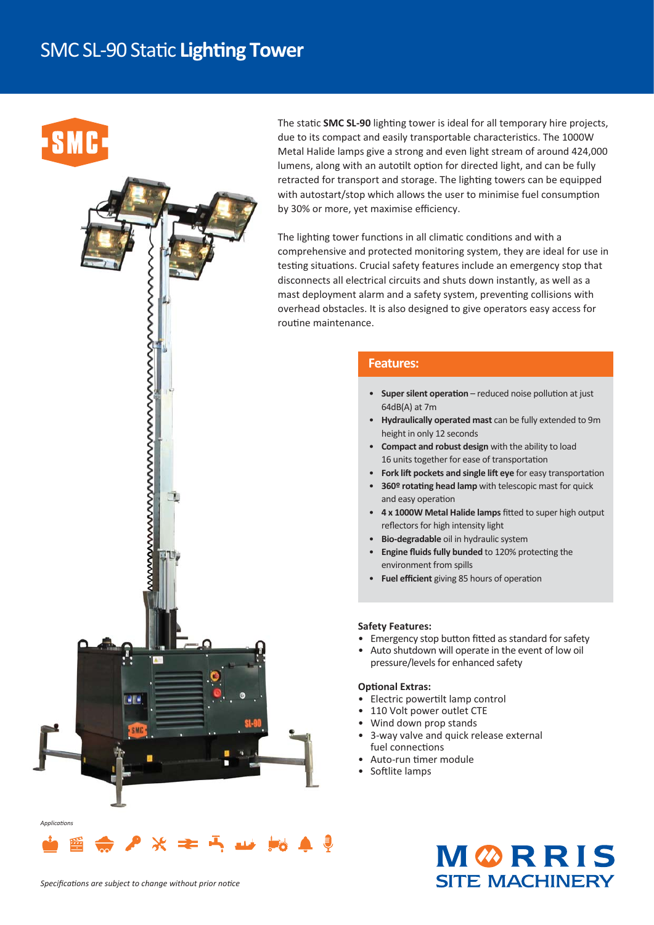### **SMC SL-90 Static Lighting Tower**

wwwwwwwwwwwwwwwwwwwwwww

 $\overline{\mathbf{u}}$ 

# **SMC**

The static **SMC SL-90** lighting tower is ideal for all temporary hire projects, due to its compact and easily transportable characteristics. The 1000W Metal Halide lamps give a strong and even light stream of around 424,000 lumens, along with an autotilt option for directed light, and can be fully retracted for transport and storage. The lighting towers can be equipped with autostart/stop which allows the user to minimise fuel consumption by 30% or more, yet maximise efficiency.

The lighting tower functions in all climatic conditions and with a comprehensive and protected monitoring system, they are ideal for use in testing situations. Crucial safety features include an emergency stop that disconnects all electrical circuits and shuts down instantly, as well as a mast deployment alarm and a safety system, preventing collisions with overhead obstacles. It is also designed to give operators easy access for routine maintenance.

#### **Features:**

- Super silent operation reduced noise pollution at just 64dB(A) at 7m
- **Hydraulically operated mast** can be fully extended to 9m height in only 12 seconds
- **Compact and robust design** with the ability to load 16 units together for ease of transportation
- Fork lift pockets and single lift eye for easy transportation
- 360º rotating head lamp with telescopic mast for quick and easy operation
- 4 x 1000W Metal Halide lamps fitted to super high output reflectors for high intensity light
- **Bio-degradable** oil in hydraulic system
- Engine fluids fully bunded to 120% protecting the environment from spills
- Fuel efficient giving 85 hours of operation

#### **Safety Features:**

- Emergency stop button fitted as standard for safety
- Auto shutdown will operate in the event of low oil pressure/levels for enhanced safety

#### **Optional Extras:**

- Electric powertilt lamp control
- 110 Volt power outlet CTE
- Wind down prop stands
- 3-way valve and quick release external fuel connections
- Auto-run timer module
- Softlite lamps



*Applica-ons*